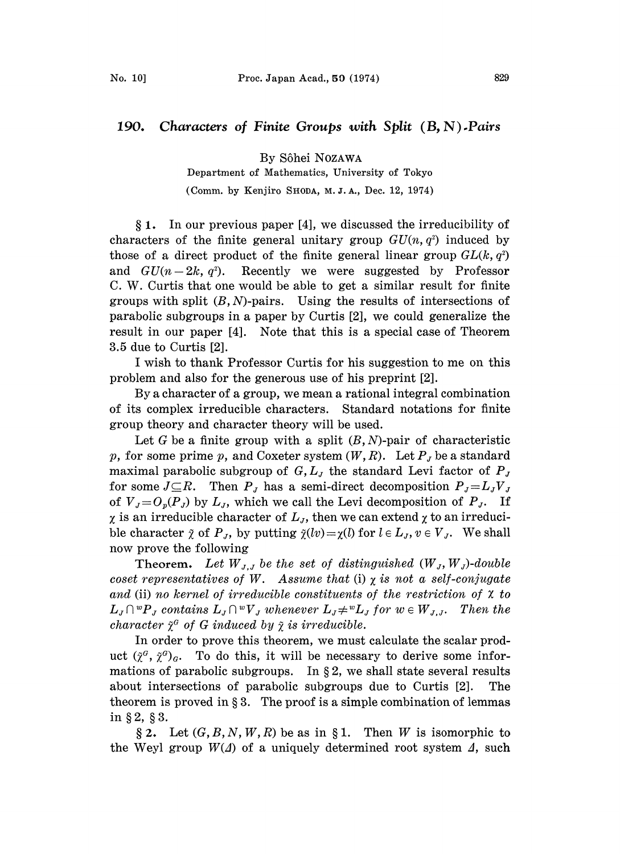## 190. Characters of Finite Groups with Split  $(B, N)$ . Pairs

By S6hei NOZAWA

Department of Mathematics, University of Tokyo

(Comm. by Kenjiro SHODA, M.J.A., Dec. 12, 1974)

1. In our previous paper [4], we discussed the irreducibility of characters of the finite general unitary group  $GU(n, q^2)$  induced by those of a direct product of the finite general linear group  $GL(k, q^2)$ and  $GU(n-2k, q^2)$ . Recently we were suggested by Professor C. W. Curtis that one would be able to get a similar result for finite groups with split  $(B, N)$ -pairs. Using the results of intersections of parabolic subgroups in a paper by Curtis [2], we could generalize the result in our paper [4]. Note that this is a special case of Theorem 3.5 due to Curtis [2].

<sup>I</sup> wish to thank Professor Curtis for his suggestion to me on this problem and also for the generous use of his preprint [2].

By a character of a group, we mean a rational integral combination of its complex irreducible characters. Standard notations for finite group theory and character theory will be used.

Let G be a finite group with a split  $(B, N)$ -pair of characteristic p, for some prime p, and Coxeter system  $(W, R)$ . Let  $P_J$  be a standard maximal parabolic subgroup of  $G, L<sub>J</sub>$  the standard Levi factor of  $P<sub>J</sub>$ for some  $J \subseteq R$ . Then  $P_J$  has a semi-direct decomposition  $P_J = L_J V_J$ of  $V_{J}=O_{p}(P_{J})$  by  $L_{J}$ , which we call the Levi decomposition of  $P_{J}$ . If  $\chi$  is an irreducible character of  $L_J$ , then we can extend  $\chi$  to an irreducible character  $\tilde{\chi}$  of  $P_J$ , by putting  $\tilde{\chi}(lv) = \chi(l)$  for  $l \in L_J$ ,  $v \in V_J$ . We shall now prove the following

Theorem. Let  $W_{J,J}$  be the set of distinguished  $(W_J, W_J)$ -double coset representatives of W. Assume that (i)  $\chi$  is not a self-conjugate and (ii) no kernel of irreducible constituents of the restriction of  $\chi$  to  $L_j\cap {^wP}_j$  contains  $L_j\cap {^wV}_j$  whenever  $L_j\ne {^wL}_j$  for  $w\in W_{j,j}$ . Then the character  $\tilde{\chi}^G$  of G induced by  $\tilde{\chi}$  is irreducible.

In order to prove this theorem, we must calculate the scalar product  $({\tilde{\chi}}^G, {\tilde{\chi}}^G)_G$ . To do this, it will be necessary to derive some informations of parabolic subgroups. In  $\S 2$ , we shall state several results about intersections of parabolic subgroups due to Curtis [2]. The theorem is proved in  $\S 3$ . The proof is a simple combination of lemmas in § 2, § 3.

§ 2. Let  $(G, B, N, W, R)$  be as in § 1. Then W is isomorphic to the Weyl group  $W(\Lambda)$  of a uniquely determined root system  $\Lambda$ , such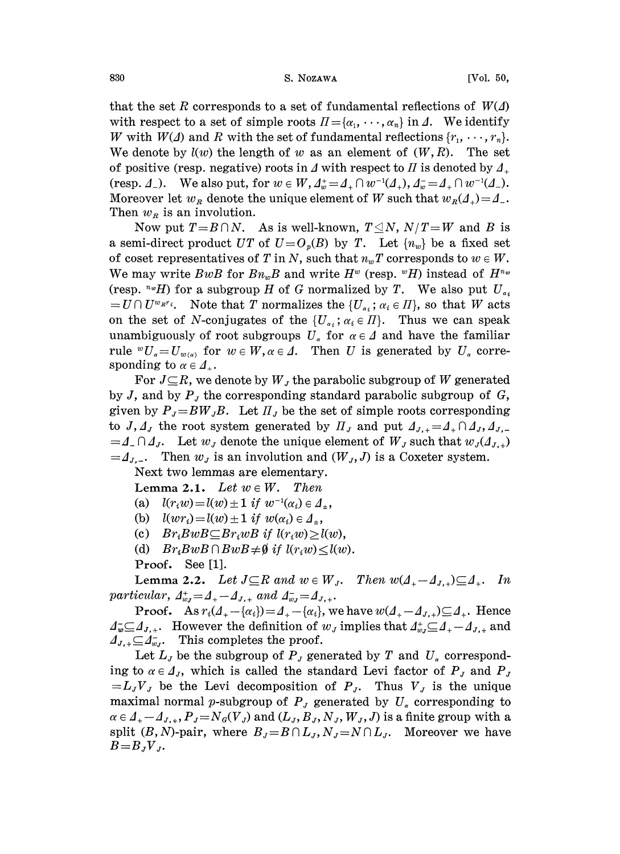830 S. NozAwA [Vol. 50,

that the set R corresponds to a set of fundamental reflections of  $W(\Delta)$ with respect to a set of simple roots  $\Pi = {\{\alpha_1, \dots, \alpha_n\}}$  in  $\Lambda$ . We identify W with  $W(\Lambda)$  and R with the set of fundamental reflections  $\{r_1, \dots, r_n\}$ . We denote by  $l(w)$  the length of w as an element of  $(W, R)$ . The set of positive (resp. negative) roots in  $\Delta$  with respect to  $\Pi$  is denoted by  $\Delta_+$ (resp.  $\Delta_{-}$ ). We also put, for  $w \in W$ ,  $\Delta_w^+ = \Delta_{+} \cap w^{-1}(\Delta_{+})$ ,  $\Delta_w^- = \Delta_{+} \cap w^{-1}(\Delta_{-})$ . Moreover let  $w_R$  denote the unique element of W such that  $w_R(\Lambda_+) = \Lambda_-$ . Then  $w_R$  is an involution. being the  $w_R$  denote the unique element of W such that  $w_R(\mathcal{A}_+) = \mathcal{A}_-$ .<br>  $w_R$  is an involution.<br>
Now put  $T = B \cap N$ . As is well-known,  $T \leq N$ ,  $N/T = W$  and B is

a semi-direct product UT of  $U=O_p(B)$  by T. Let  $\{n_w\}$  be a fixed set of coset representatives of T in N, such that  $n_w T$  corresponds to  $w \in W$ . We may write BwB for  $B_nB$  and write  $H^w$  (resp.  $^wH$ ) instead of  $H^{n_w}$ (resp.  $\sqrt[nw]{H}$ ) for a subgroup H of G normalized by T. We also put  $U_{\alpha}$  $=U\cap U^{w_{R}r_i}$ . Note that T normalizes the  $\{U_{\alpha_i}; \alpha_i\in \Pi\}$ , so that W acts on the set of N-conjugates of the  $\{U_{\alpha_i}; \alpha_i \in \Pi\}$ . Thus we can speak unambiguously of root subgroups  $U_{\alpha}$  for  $\alpha \in \Delta$  and have the familiar rule  $^{w}U_{\alpha}=U_{w(\alpha)}$  for  $w \in W, \alpha \in \Delta$ . Then U is generated by  $U_{\alpha}$  corresponding to  $\alpha \in \mathcal{A}_+$ .

For  $J\subseteq R$ , we denote by  $W_J$  the parabolic subgroup of W generated by J, and by  $P_J$  the corresponding standard parabolic subgroup of G, given by  $P_{J} = BW_{J}B$ . Let  $\Pi_{J}$  be the set of simple roots corresponding to  $J, \Delta_J$  the root system generated by  $\Pi_J$  and put  $\Delta_{J,+} = \Delta_+ \cap \Delta_J, \Delta_{J,-}$  $=$   $\Delta$ <sub>-</sub>  $\cap$   $\Delta$ <sub>J</sub>. Let  $w$ <sub>J</sub> denote the unique element of  $W$ <sub>J</sub> such that  $w$ <sub>J</sub> $(\Delta$ <sub>J<sub>i</sub><sub>+</sub>)</sub>  $=$   $\Delta_{J}$ ... Then  $w_J$  is an involution and  $(W_J, J)$  is a Coxeter system.

Next two lemmas are elementary.

Lemma 2.1. Let  $w \in W$ . Then

(a)  $l(r_iw) = l(w) \pm 1$  if  $w^{-1}(\alpha_i) \in A_+$ ,

(b)  $l(wr_i)= l(w) \pm 1$  if  $w(\alpha_i) \in A_{\pm}$ ,

- (c)  $Br_iBwB \subseteq Br_iwB$  if  $l(r_iw) \ge l(w)$ ,
- (d)  $Br_iBwB \cap BwB \neq \emptyset$  if  $l(r_iw) \leq l(w)$ .

Proof. See [1].

Lemma 2.2. Let  $J \subseteq R$  and  $w \in W_J$ . Then  $w(A_+ - A_{J,+}) \subseteq A_+$ . In particular,  $\Delta_{w_J}^+ = \Delta_{+-} \Delta_{J,+}$  and  $\Delta_{w_J}^- = \Delta_{J,+}$ .

**Proof.** As  $r_i(A_+ - \{\alpha_i\}) = A_+ - \{\alpha_i\}$ , we have  $w(A_+ - A_{J,+}) \subseteq A_+$ . Hence  $A_{w} \subseteq A_{J,+}$ . However the definition of  $w_J$  implies that  $A_{w_J}^* \subseteq A_{+-}A_{J,+}$  and  $\Delta_{J,+} \subseteq \Delta_{w,I}^-$ . This completes the proof.

Let  $L_J$  be the subgroup of  $P_J$  generated by T and  $U_\alpha$  corresponding to  $\alpha \in \Delta_J$ , which is called the standard Levi factor of  $P_J$  and  $P_J$  $=L_JV_J$  be the Levi decomposition of  $P_J$ . Thus  $V_J$  is the unique maximal normal p-subgroup of  $P_i$  generated by  $U_i$  corresponding to  $\alpha \in A_{+}-A_{J,+}, P_{J}=N_{G}(V_{J})$  and  $(L_{J}, B_{J}, N_{J}, W_{J}, J)$  is a finite group with a split  $(B, N)$ -pair, where  $B_J = B \cap L_J$ ,  $N_J = N \cap L_J$ . Moreover we have  $B=B_JV_J$ .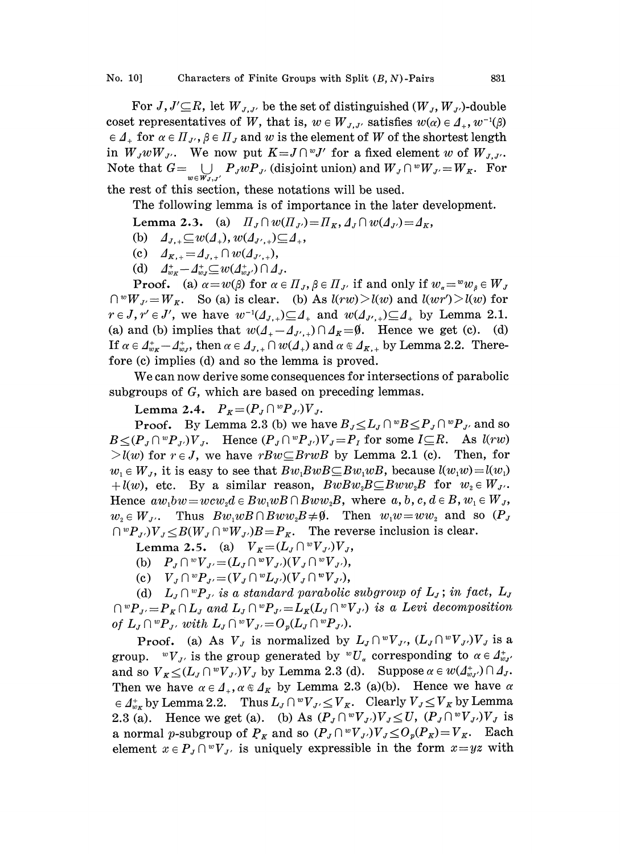For  $J, J' \subseteq R$ , let  $W_{J,J'}$  be the set of distinguished  $(W_J, W_{J'})$ -double coset representatives of W, that is,  $w \in W_{J,J'}$  satisfies  $w(\alpha) \in \mathcal{A}_+, w^{-1}(\beta)$  $\epsilon \Delta_+$  for  $\alpha \epsilon \Pi_{J'}$ ,  $\beta \epsilon \Pi_J$  and w is the element of W of the shortest length in  $W_J w W_{J'}$ . We now put  $K = J \cap {}^w J'$  for a fixed element w of  $W_{J,J'}$ . Note that  $G = \bigcup_{w \in W_J, J'} P_J w P_{J'}$  (disjoint union) and  $W_J \cap {}^w W_{J'} = W_K$ . For

the rest of this section, these notations will be used.

The following lemma is of importance in the later development.

- Lemma 2.3. (a)  $\Pi_J \cap w(\Pi_{J}) = \Pi_K, \Delta_J \cap w(\Delta_{J}) = \Delta_K$ ,
- (b)  $\Delta_{J,+} \subseteq w(\Delta_+), w(\Delta_{J',+}) \subseteq \Delta_+,$
- (c)  $A_{K,+} = A_{J,+} \cap w(A_{J',+}),$
- (d)  $d_{w_K}^+ d_{w_J}^+ \subseteq w(d_{w_J}^+) \cap d_J$ .

**Proof.** (a)  $\alpha = w(\beta)$  for  $\alpha \in \Pi_J$ ,  $\beta \in \Pi_{J'}$  if and only if  $w_{\alpha} = w_{\alpha} \in W_J$  $\bigcap wW_{J'}=W_K$ . So (a) is clear. (b) As  $l(rw) > l(w)$  and  $l(wr') > l(w)$  for  $r \in J$ ,  $r' \in J'$ , we have  $w^{-1}(A_{J,+}) \subseteq A_+$  and  $w(A_{J',+}) \subseteq A_+$  by Lemma 2.1. (a) and (b) implies that  $w(A_+ - A_{J',+}) \cap A_K = \emptyset$ . Hence we get (c). (d) If  $\alpha \in \Lambda_{w\kappa}^+-\Lambda_{w\kappa}^+$ , then  $\alpha \in \Lambda_{J,+} \cap w(\Lambda_+)$  and  $\alpha \in \Lambda_{K,+}$  by Lemma 2.2. Therefore (c) implies (d) and so the lemma is proved.

We can now derive some consequences for intersections of parabolic subgroups of G, which are based on preceding lemmas.

Lemma 2.4.  $P_K = (P_J \cap {}^w P_{J'})V_J$ .

**Proof.** By Lemma 2.3 (b) we have  $B_J \leq L_J \cap {}^w B \leq P_J \cap {}^w P_{J'}$  and so  $B \leq (P_{J} \cap {}^{w}P_{J'})V_{J}$ . Hence  $(P_{J} \cap {}^{w}P_{J'})V_{J} = P_{J}$  for some  $I \subseteq R$ . As  $l(rw)$  $\geq l(w)$  for  $r \in J$ , we have  $rBw \subseteq BrwB$  by Lemma 2.1 (c). Then, for  $w_1 \in W_J$ , it is easy to see that  $Bw_1BwB \subseteq Bw_1wB$ , because  $l(w_1w)=l(w_1)$ +l(w), etc. By a similar reason,  $BwBw_2B\subseteq Bww_2B$  for  $w_2\in W_J$ . Hence  $aw_1bw = wcw_2d \in Bw_1wB \cap Bww_2B$ , where  $a, b, c, d \in B, w_1 \in W_J$ ,  $w_2 \in W_{\mathcal{J}}$ . Thus  $Bw_1wB\cap Bww_2B\neq\emptyset$ . Then  $w_1w=ww_2$  and so  $(P_{\mathcal{J}})$  $\bigcap {^wP}_{J}$ ) $V_J < B(W_J \cap {^wW}_{J})B = P_K$ . The reverse inclusion is clear.

Lemma 2.5. (a)  $V_K = (L_J \cap {}^wV_{J'})V_J$ ,

- (b)  $P_{J} \cap {}^{w}V_{J'} = (L_{J} \cap {}^{w}V_{J'}) (V_{J} \cap {}^{w}V_{J'})$
- (c)  $V_{J} \cap {}^{w}P_{J'} = (V_{J} \cap {}^{w}L_{J'}) (V_{J} \cap {}^{w}V_{J'})$

(d)  $L_{J} \cap {}^{w}P_{J'}$  is a standard parabolic subgroup of  $L_{J}$ ; in fact,  $L_{J}$  $\bigcap {^wP}_{J'}=P_{K}\cap L_{J}$  and  $L_{J}\bigcap {^wP}_{J'}=L_{K}(L_{J}\cap {^wV}_{J'})$  is a Levi decomposition of  $L_J \cap {^wP}_{J'}$ , with  $L_J \cap {^wV}_{J'} = O_p(L_J \cap {^wP}_{J'})$ .

**Proof.** (a) As  $V_J$  is normalized by  $L_J \cap {^w}V_{J}$ ,  $(L_J \cap {^w}V_{J})V_J$  is a group.  ${}^wV_{J'}$  is the group generated by  ${}^wU_\alpha$  corresponding to  $\alpha \in \Lambda^*_{wJ'}$ and so  $V_{K} \leq (L_{J} \cap {}^{w}V_{J})V_{J}$  by Lemma 2.3 (d). Suppose  $\alpha \in w(\Lambda_{w,J}^{+}) \cap \Lambda_{J}$ . Then we have  $\alpha \in \mathcal{A}_+$ ,  $\alpha \in \mathcal{A}_K$  by Lemma 2.3 (a)(b). Hence we have  $\alpha$  $\in \Lambda^*_{w_K}$  by Lemma 2.2. Thus  $L_J \cap {}^wV_{J'} \leq V_K$ . Clearly  $V_J \leq V_K$  by Lemma 2.3 (a). Hence we get (a). (b) As  $(P_J \cap {}^wV_{J})V_J \leq U$ ,  $(P_J \cap {}^wV_{J})V_J$  is a normal p-subgroup of  $P_K$  and so  $(P_J \cap {}^wV_{J})V_J \leq O_p(P_K) = V_K$ . Each element  $x \in P_{J} \cap {}^{w}V_{J}$  is uniquely expressible in the form  $x=yz$  with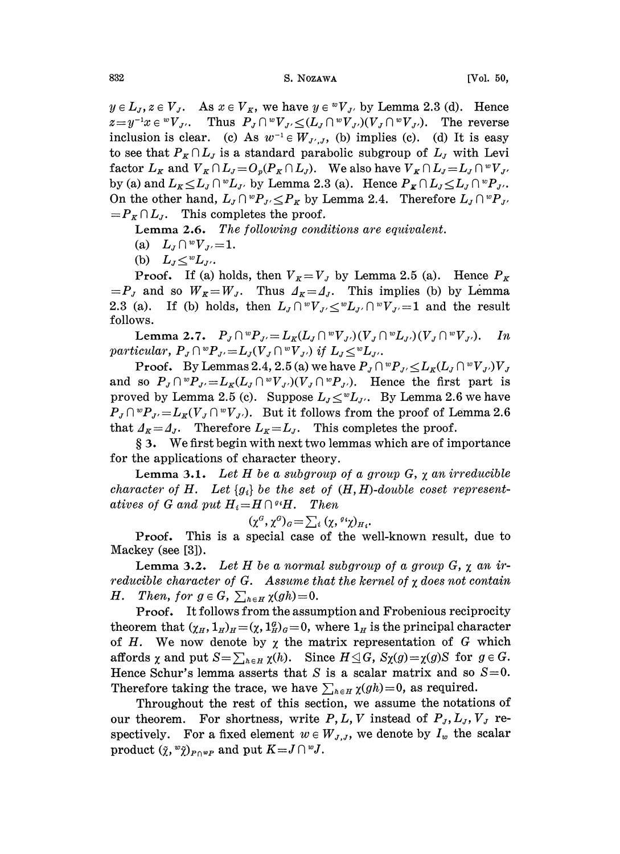$y \in L_J$ ,  $z \in V_J$ . As  $x \in V_K$ , we have  $y \in {}^wV_{J'}$  by Lemma 2.3 (d). Hence  $z=y^{-1}x \in {}^{w}V_{J'}$ . Thus  $P_J \cap {}^{w}V_{J'} \leq (L_J \cap {}^{w}V_{J'}) (V_J \cap {}^{w}V_{J'})$ . The reverse inclusion is clear. (c) As  $w^{-1} \in W_{J',J}$ , (b) implies (c). (d) It is easy to see that  $P_K \cap L_J$  is a standard parabolic subgroup of  $L_J$  with Levi factor  $L_K$  and  $V_K \cap L_J = O_p(P_K \cap L_J)$ . We also have  $V_K \cap L_J = L_J \cap {}^wV_J$ . by (a) and  $L_K \le L_J \cap {}^wL_J$ , by Lemma 2.3 (a). Hence  $P_K \cap L_J \le L_J \cap {}^wP_J$ ,<br>On the other hand,  $L_J \cap {}^wP_J \le P_K$  by Lemma 2.4. Therefore  $L_J \cap {}^wP_J$ ,<br> $-P \cap L$ . This completes the proof On the other hand,  $L_J \cap {^wP}_{J'} \le P_K$  by Lemma 2.4. Therefore  $L_J \cap {^wP}_{J'} = P_K \cap L_J$ . This completes the proof.

Lemma 2.6. The following conditions are equivalent.

- (a)  $L_J \cap {}^wV_{J'}=1$ .
- (b)  $L_J \leq^w L_J$ .

**Proof.** If (a) holds, then  $V_K = V_J$  by Lemma 2.5 (a). Hence  $P_K$  $=P_J$  and so  $W_R=W_J$ . Thus  $\Delta_k=\Delta_J$ . This implies (b) by Lemma 2.3 (a). If (b) holds, then  $L_J \cap {^w}V_{J'} \leq {^w}L_{J'} \cap {^w}V_{J'}=1$  and the result follows.

Lemma 2.7.  $P_J \cap {}^w P_{J'} = L_K(L_J \cap {}^w V_{J'}) (V_J \cap {}^w L_{J'}) (V_J \cap {}^w V_{J'})$ . In particular,  $P_J \cap {^w}P_{J'} = L_J(V_J \cap {^w}V_{J'})$  if  $L_J \le {^w}L_{J'}$ .

**Proof.** By Lemmas 2.4, 2.5 (a) we have  $P_J \cap {}^w P_{J'} \leq L_K(L_J \cap {}^w V_{J'}) V_J$ and so  $P_J \cap {^w}P_{J'}=L_K(L_J \cap {^w}V_{J'})$   $(V_J \cap {^w}P_{J'})$ . Hence the first part is proved by Lemma 2.5 (c). Suppose  $L_J \leq^w L_J$ . By Lemma 2.6 we have  $P_J \cap^w P_{J'} = L_K(V_J \cap^w V_{J'})$ . But it follows from the proof of Lemma 2.6 that  $A_K = A_J$ . Therefore  $L_K = L_J$ . This completes the proof.

§ 3. We first begin with next two lemmas which are of importance for the applications of character theory.

**Lemma 3.1.** Let H be a subgroup of a group G,  $\chi$  an irreducible character of H. Let  $\{g_i\}$  be the set of  $(H, H)$ -double coset representatives of G and put  $H_i = H \cap {^{g_i}H}$ .  $Then$ 

$$
(\chi^G,\chi^G)_G\!=\!\sum_i\,(\chi,\,{}^{g\,i}\chi)_{H\,i}.
$$

Proof. This is a special case of the well-known result, due to Mackey (see [3]).

**Lemma 3.2.** Let H be a normal subgroup of a group  $G$ ,  $\chi$  an irreducible character of  $G$ . Assume that the kernel of  $\chi$  does not contain H. Then, for  $g \in G$ ,  $\sum_{h \in H} \chi(gh)=0$ .

**Proof.** It follows from the assumption and Frobenious reciprocity theorem that  $(\chi_H, 1_H)_H = (\chi, 1_H^a)_G = 0$ , where  $1_H$  is the principal character of H. We now denote by  $\chi$  the matrix representation of G which affords  $\chi$  and put  $S=\sum_{h\in H}\chi(h)$ . Since  $H\leq G$ ,  $S_{\chi}(g)=\chi(g)S$  for  $g\in G$ . Hence Schur's lemma asserts that S is a scalar matrix and so  $S=0$ . Therefore taking the trace, we have  $\sum_{h\in H}\chi(gh)=0$ , as required.

Throughout the rest of this section, we assume the notations of our theorem. For shortness, write P, L, V instead of  $P_J, L_J, V_J$  respectively. For a fixed element  $w \in W_{J,J}$ , we denote by  $I_w$  the scalar product  $(\tilde{\chi}, {^w\tilde{\chi}})_{P \cap {^w}P}$  and put  $K = J \cap {^w}J$ .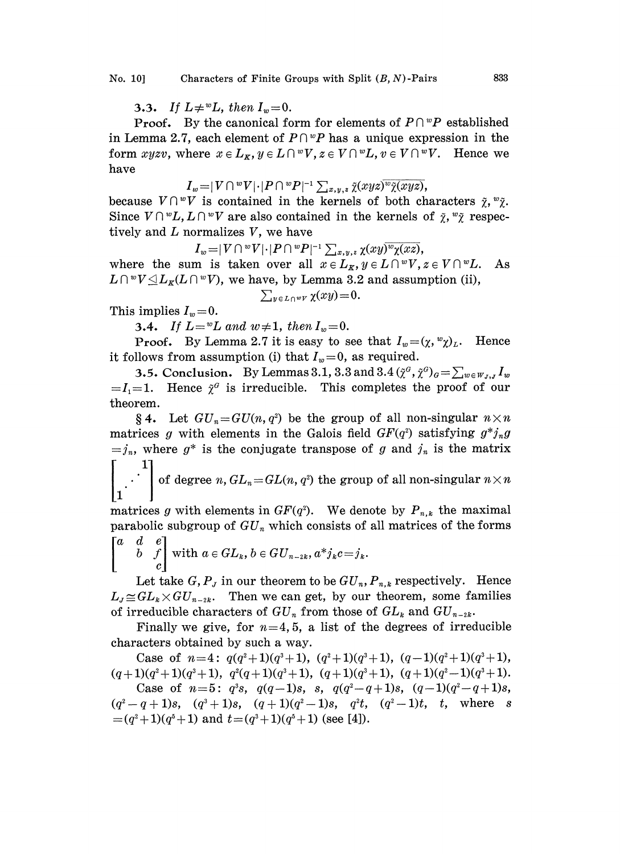**3.3.** If  $L \neq^w L$ , then  $I_w = 0$ .

**Proof.** By the canonical form for elements of  $P \cap {}^w P$  established in Lemma 2.7, each element of  $P \cap {}^w P$  has a unique expression in the form xyzv, where  $x \in L_K$ ,  $y \in L \cap {}^wV$ ,  $z \in V \cap {}^wL$ ,  $v \in V \cap {}^wV$ . Hence we have

$$
I_w\!=\!|V\cap {}^wV|\!\cdot\!|P\cap {}^wP|^{-1}\textstyle\sum_{x,y,z}\tilde\chi(xyz)^{\overline{w}}\tilde\chi(xyz),
$$

because  $V \cap {}^wV$  is contained in the kernels of both characters  $\tilde{\chi}, {}^w\tilde{\chi}$ . Since  $V \cap {}^wL, L \cap {}^wV$  are also contained in the kernels of  $\tilde{\chi}, {}^w\tilde{\chi}$  respectively and  $L$  normalizes  $V$ , we have

 $I_w\!=\!\!|V\cap {}^wV|\!\cdot\!|P\cap {}^wP|$  $\begin{aligned} \mathcal{L}^{-1}\sum_{x,y,z}\chi(xy)^{\overline{w}}\chi(xz),\ x\in L_{\boldsymbol{\kappa}},y\in L\cap {}^wV, \end{aligned}$ where the sum is taken over all  $x \in L_K$ ,  $y \in L \cap {}^wV$ ,  $z \in V \cap {}^wL$ . As where the sum is taken over an  $x \in L_K$ ,  $y \in D \cap V$ ,  $z \in V \cap L$ .<br>  $L \cap V \trianglelefteq L_K(L \cap V)$ , we have, by Lemma 3.2 and assumption (ii),  $|\cdot|P \cap {}^wP$ <br>over all<br>we, by I<br> $\sum_{y \in L \cap {}^wV}$ 

$$
\sum_{y \in L \cap wV} \chi(xy) = 0.
$$

This implies  $I_w = 0$ .

3.4. If  $L = wL$  and  $w \neq 1$ , then  $I_w = 0$ .

**Proof.** By Lemma 2.7 it is easy to see that  $I_w=(\chi, {}^w\chi)_L$ . Hence it follows from assumption (i) that  $I_w=0$ , as required.

**3.5.** Conclusion. By Lemmas 3.1, 3.3 and  $3.4$   $(\tilde{\chi}^a, \tilde{\chi}^b)_{a} = \sum_{w \in W_{J,J}} I_w$  $=I_1=1$ . Hence  $\tilde{\chi}^G$  is irreducible. This completes the proof of our theorem.

§ 4. Let  $GU_n=GU(n, q^2)$  be the group of all non-singular  $n\times n$ matrices g with elements in the Galois field  $GF(q^2)$  satisfying  $g^*j_ng$  $=j_n$ , where  $g^*$  is the conjugate transpose of g and  $j_n$  is the matrix

of degree  $n, GL_n=GL(n, q^2)$  the group of all non-singular  $n \times n$ 1

matrices g with elements in  $GF(q^2)$ . We denote by  $P_{n,k}$  the maximal parabolic subgroup of  $GU_n$  which consists of all matrices of the forms  $[a, d, e]$ 

$$
\begin{bmatrix} a & a & e \\ & b & f \\ & & c \end{bmatrix}
$$
 with  $a \in GL_k$ ,  $b \in GU_{n-2k}$ ,  $a^*j_kc = j_k$ .

Let take  $G, P_J$  in our theorem to be  $GU_n, P_{n,k}$  respectively. Hence  $L_{\ell} \cong GL_k \times GU_{n-2k}$ . Then we can get, by our theorem, some families of irreducible characters of  $GU_n$  from those of  $GL_k$  and  $GU_{n-2k}$ .

Finally we give, for  $n=4, 5$ , a list of the degrees of irreducible characters obtained by such a way.

Case of  $n=4$ :  $q(q^2+1)(q^3+1)$ ,  $(q^2+1)(q^3+1)$ ,  $(q-1)(q^2+1)(q^3+1)$ ,  $(q+1)(q^2+1)(q^3+1), q^2(q+1)(q^3+1), (q+1)(q^3+1), (q+1)(q^2-1)(q^3+1).$ 

 $\begin{array}{l} (1)(q^2+1)(q^3+1),\ \ q^2(q+1)(q^3+1),\ \ (q+1)(q^3+1),\ \ (q+1)(q^2-1)(q^3+1),\ \ \text{Case of}\ \ n=5:\ \ q^3s,\ \ q(q-1)s,\ \ s,\ \ q(q^2-q+1)s,\ \ (q-1)(q^2-q+1)s,\ \ \alpha+1\}e, \ \ (q+1)(q^2-1)e, \ \ q^{2t}=\left( q^2-1\right)t,\ \ t\ \ \ \ \ \text{where}\ \ \ s\ \ \ \end{array}$  $(q^2-q+1)s$ ,  $(q^3+1)s$ ,  $(q+1)(q^2-1)s$ ,  $q^2t$ ,  $(q^2-1)t$ , t, where s  $=(q^{2}+1)(q^{5}+1)$  and  $t=(q^{3}+1)(q^{5}+1)$  (see [4]).